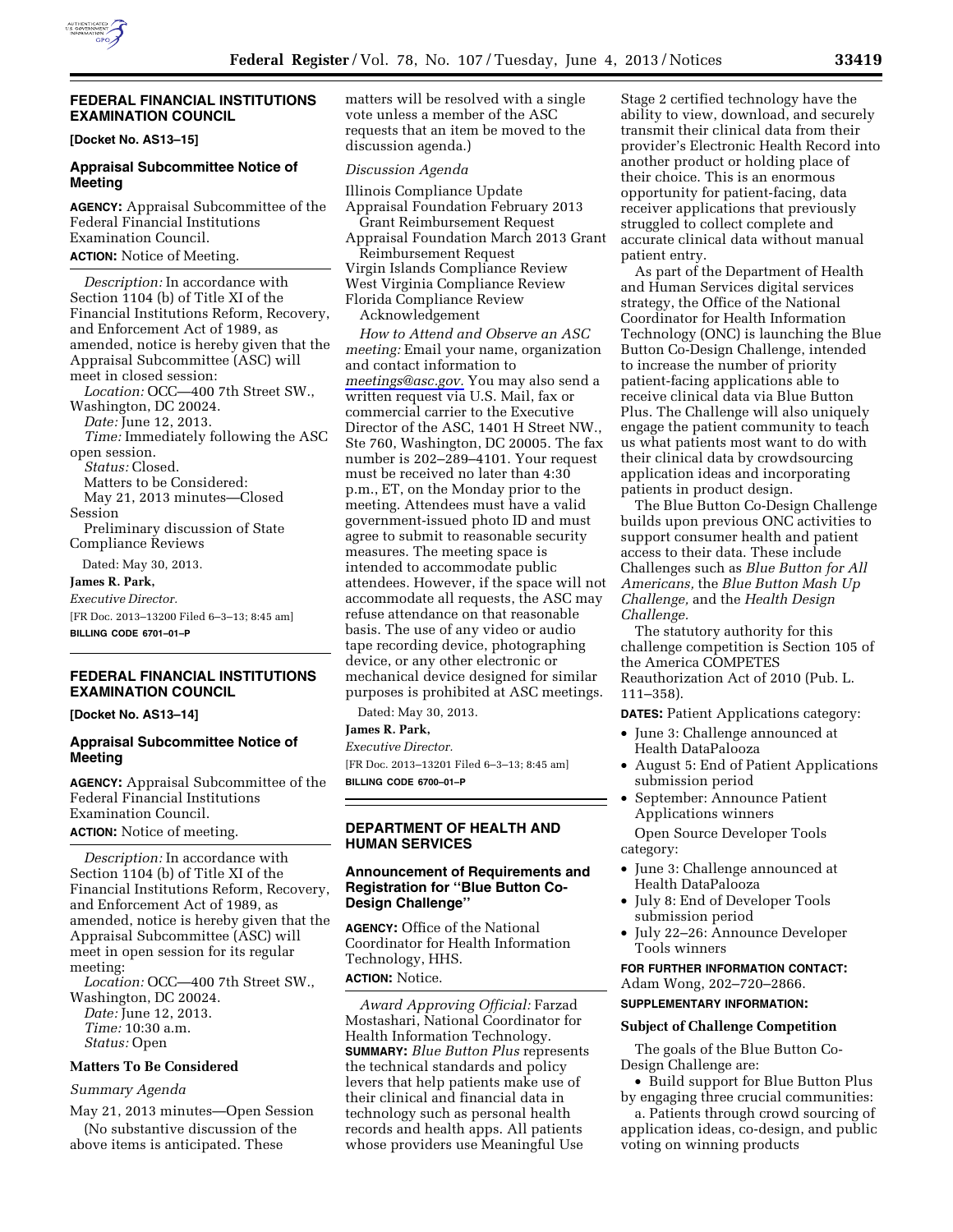

## **FEDERAL FINANCIAL INSTITUTIONS EXAMINATION COUNCIL**

**[Docket No. AS13–15]** 

## **Appraisal Subcommittee Notice of Meeting**

**AGENCY:** Appraisal Subcommittee of the Federal Financial Institutions Examination Council.

# **ACTION:** Notice of Meeting.

*Description:* In accordance with Section 1104 (b) of Title XI of the Financial Institutions Reform, Recovery, and Enforcement Act of 1989, as amended, notice is hereby given that the Appraisal Subcommittee (ASC) will meet in closed session: *Location:* OCC—400 7th Street SW.,

Washington, DC 20024. *Date:* June 12, 2013. *Time:* Immediately following the ASC open session. *Status:* Closed. Matters to be Considered:

May 21, 2013 minutes—Closed Session

Preliminary discussion of State Compliance Reviews

Dated: May 30, 2013.

**James R. Park,** 

*Executive Director.* 

[FR Doc. 2013–13200 Filed 6–3–13; 8:45 am] **BILLING CODE 6701–01–P** 

## **FEDERAL FINANCIAL INSTITUTIONS EXAMINATION COUNCIL**

**[Docket No. AS13–14]** 

## **Appraisal Subcommittee Notice of Meeting**

**AGENCY:** Appraisal Subcommittee of the Federal Financial Institutions Examination Council.

**ACTION:** Notice of meeting.

*Description:* In accordance with Section 1104 (b) of Title XI of the Financial Institutions Reform, Recovery, and Enforcement Act of 1989, as amended, notice is hereby given that the Appraisal Subcommittee (ASC) will meet in open session for its regular meeting:

*Location:* OCC—400 7th Street SW., Washington, DC 20024. *Date:* June 12, 2013.

*Time:* 10:30 a.m. *Status:* Open

#### **Matters To Be Considered**

#### *Summary Agenda*

May 21, 2013 minutes—Open Session (No substantive discussion of the

above items is anticipated. These

matters will be resolved with a single vote unless a member of the ASC requests that an item be moved to the discussion agenda.)

#### *Discussion Agenda*

Illinois Compliance Update Appraisal Foundation February 2013 Grant Reimbursement Request Appraisal Foundation March 2013 Grant Reimbursement Request Virgin Islands Compliance Review West Virginia Compliance Review Florida Compliance Review Acknowledgement

*How to Attend and Observe an ASC meeting:* Email your name, organization and contact information to *[meetings@asc.gov.](mailto:meetings@asc.gov)* You may also send a written request via U.S. Mail, fax or commercial carrier to the Executive Director of the ASC, 1401 H Street NW., Ste 760, Washington, DC 20005. The fax number is 202–289–4101. Your request must be received no later than 4:30 p.m., ET, on the Monday prior to the meeting. Attendees must have a valid government-issued photo ID and must agree to submit to reasonable security measures. The meeting space is intended to accommodate public attendees. However, if the space will not accommodate all requests, the ASC may refuse attendance on that reasonable basis. The use of any video or audio tape recording device, photographing device, or any other electronic or mechanical device designed for similar purposes is prohibited at ASC meetings.

Dated: May 30, 2013.

**James R. Park,** 

*Executive Director.*  [FR Doc. 2013–13201 Filed 6–3–13; 8:45 am] **BILLING CODE 6700–01–P** 

## **DEPARTMENT OF HEALTH AND HUMAN SERVICES**

### **Announcement of Requirements and Registration for ''Blue Button Co-Design Challenge''**

**AGENCY:** Office of the National Coordinator for Health Information Technology, HHS.

**ACTION:** Notice.

*Award Approving Official:* Farzad Mostashari, National Coordinator for Health Information Technology. **SUMMARY:** *Blue Button Plus* represents the technical standards and policy levers that help patients make use of their clinical and financial data in technology such as personal health records and health apps. All patients whose providers use Meaningful Use

Stage 2 certified technology have the ability to view, download, and securely transmit their clinical data from their provider's Electronic Health Record into another product or holding place of their choice. This is an enormous opportunity for patient-facing, data receiver applications that previously struggled to collect complete and accurate clinical data without manual patient entry.

As part of the Department of Health and Human Services digital services strategy, the Office of the National Coordinator for Health Information Technology (ONC) is launching the Blue Button Co-Design Challenge, intended to increase the number of priority patient-facing applications able to receive clinical data via Blue Button Plus. The Challenge will also uniquely engage the patient community to teach us what patients most want to do with their clinical data by crowdsourcing application ideas and incorporating patients in product design.

The Blue Button Co-Design Challenge builds upon previous ONC activities to support consumer health and patient access to their data. These include Challenges such as *Blue Button for All Americans,* the *Blue Button Mash Up Challenge,* and the *Health Design Challenge.* 

The statutory authority for this challenge competition is Section 105 of the America COMPETES Reauthorization Act of 2010 (Pub. L. 111–358).

**DATES:** Patient Applications category:

- June 3: Challenge announced at Health DataPalooza
- August 5: End of Patient Applications submission period
- September: Announce Patient Applications winners

Open Source Developer Tools category:

- June 3: Challenge announced at Health DataPalooza
- July 8: End of Developer Tools submission period
- July 22–26: Announce Developer Tools winners

**FOR FURTHER INFORMATION CONTACT:**  Adam Wong, 202–720–2866.

## **SUPPLEMENTARY INFORMATION:**

#### **Subject of Challenge Competition**

The goals of the Blue Button Co-Design Challenge are:

• Build support for Blue Button Plus by engaging three crucial communities:

a. Patients through crowd sourcing of application ideas, co-design, and public voting on winning products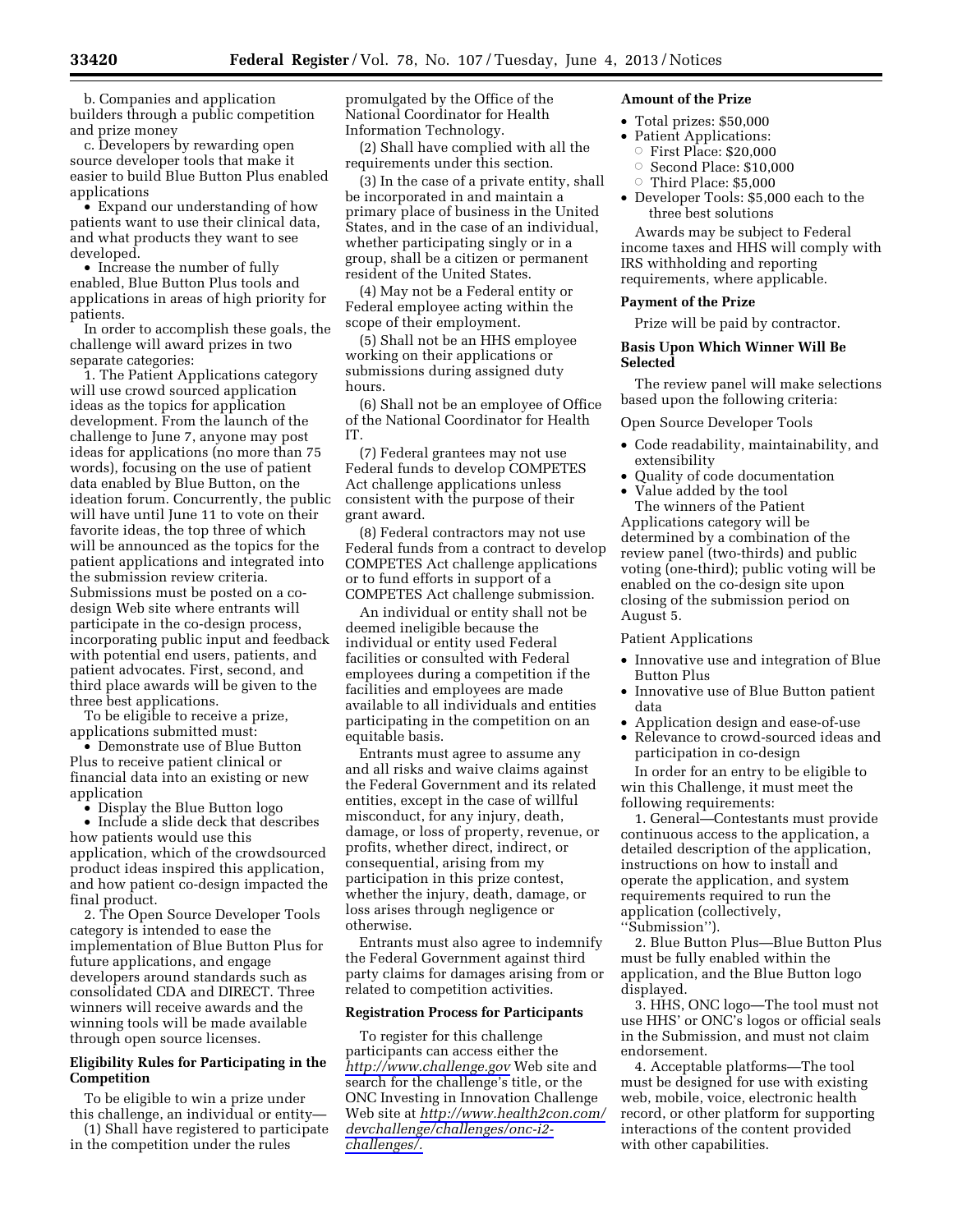b. Companies and application builders through a public competition and prize money

c. Developers by rewarding open source developer tools that make it easier to build Blue Button Plus enabled applications

• Expand our understanding of how patients want to use their clinical data, and what products they want to see developed.

• Increase the number of fully enabled, Blue Button Plus tools and applications in areas of high priority for patients.

In order to accomplish these goals, the challenge will award prizes in two separate categories:

1. The Patient Applications category will use crowd sourced application ideas as the topics for application development. From the launch of the challenge to June 7, anyone may post ideas for applications (no more than 75 words), focusing on the use of patient data enabled by Blue Button, on the ideation forum. Concurrently, the public will have until June 11 to vote on their favorite ideas, the top three of which will be announced as the topics for the patient applications and integrated into the submission review criteria. Submissions must be posted on a codesign Web site where entrants will participate in the co-design process, incorporating public input and feedback with potential end users, patients, and patient advocates. First, second, and third place awards will be given to the three best applications.

To be eligible to receive a prize, applications submitted must:

• Demonstrate use of Blue Button Plus to receive patient clinical or financial data into an existing or new application

• Display the Blue Button logo

• Include a slide deck that describes how patients would use this application, which of the crowdsourced product ideas inspired this application, and how patient co-design impacted the final product.

2. The Open Source Developer Tools category is intended to ease the implementation of Blue Button Plus for future applications, and engage developers around standards such as consolidated CDA and DIRECT. Three winners will receive awards and the winning tools will be made available through open source licenses.

## **Eligibility Rules for Participating in the Competition**

To be eligible to win a prize under this challenge, an individual or entity—

(1) Shall have registered to participate in the competition under the rules

promulgated by the Office of the National Coordinator for Health Information Technology.

(2) Shall have complied with all the requirements under this section.

(3) In the case of a private entity, shall be incorporated in and maintain a primary place of business in the United States, and in the case of an individual, whether participating singly or in a group, shall be a citizen or permanent resident of the United States.

(4) May not be a Federal entity or Federal employee acting within the scope of their employment.

(5) Shall not be an HHS employee working on their applications or submissions during assigned duty hours.

(6) Shall not be an employee of Office of the National Coordinator for Health IT.

(7) Federal grantees may not use Federal funds to develop COMPETES Act challenge applications unless consistent with the purpose of their grant award.

(8) Federal contractors may not use Federal funds from a contract to develop COMPETES Act challenge applications or to fund efforts in support of a COMPETES Act challenge submission.

An individual or entity shall not be deemed ineligible because the individual or entity used Federal facilities or consulted with Federal employees during a competition if the facilities and employees are made available to all individuals and entities participating in the competition on an equitable basis.

Entrants must agree to assume any and all risks and waive claims against the Federal Government and its related entities, except in the case of willful misconduct, for any injury, death, damage, or loss of property, revenue, or profits, whether direct, indirect, or consequential, arising from my participation in this prize contest, whether the injury, death, damage, or loss arises through negligence or otherwise.

Entrants must also agree to indemnify the Federal Government against third party claims for damages arising from or related to competition activities.

#### **Registration Process for Participants**

To register for this challenge participants can access either the *<http://www.challenge.gov>*Web site and search for the challenge's title, or the ONC Investing in Innovation Challenge Web site at *[http://www.health2con.com/](http://www.health2con.com/devchallenge/challenges/onc-i2-challenges/) [devchallenge/challenges/onc-i2](http://www.health2con.com/devchallenge/challenges/onc-i2-challenges/)  [challenges/.](http://www.health2con.com/devchallenge/challenges/onc-i2-challenges/)* 

#### **Amount of the Prize**

- Total prizes: \$50,000
- Patient Applications:
- $\circ$  First Place: \$20,000
- $\circ$  Second Place: \$10,000  $\circ$  Third Place: \$5,000
- Developer Tools: \$5,000 each to the three best solutions

Awards may be subject to Federal income taxes and HHS will comply with IRS withholding and reporting requirements, where applicable.

#### **Payment of the Prize**

Prize will be paid by contractor.

### **Basis Upon Which Winner Will Be Selected**

The review panel will make selections based upon the following criteria:

#### Open Source Developer Tools

- Code readability, maintainability, and extensibility
- Quality of code documentation

• Value added by the tool The winners of the Patient Applications category will be determined by a combination of the review panel (two-thirds) and public voting (one-third); public voting will be enabled on the co-design site upon closing of the submission period on August 5.

Patient Applications

- Innovative use and integration of Blue Button Plus
- Innovative use of Blue Button patient data
- Application design and ease-of-use
- Relevance to crowd-sourced ideas and participation in co-design

In order for an entry to be eligible to win this Challenge, it must meet the following requirements:

1. General—Contestants must provide continuous access to the application, a detailed description of the application, instructions on how to install and operate the application, and system requirements required to run the application (collectively,

''Submission'').

2. Blue Button Plus—Blue Button Plus must be fully enabled within the application, and the Blue Button logo displayed.

3. HHS, ONC logo—The tool must not use HHS' or ONC's logos or official seals in the Submission, and must not claim endorsement.

4. Acceptable platforms—The tool must be designed for use with existing web, mobile, voice, electronic health record, or other platform for supporting interactions of the content provided with other capabilities.